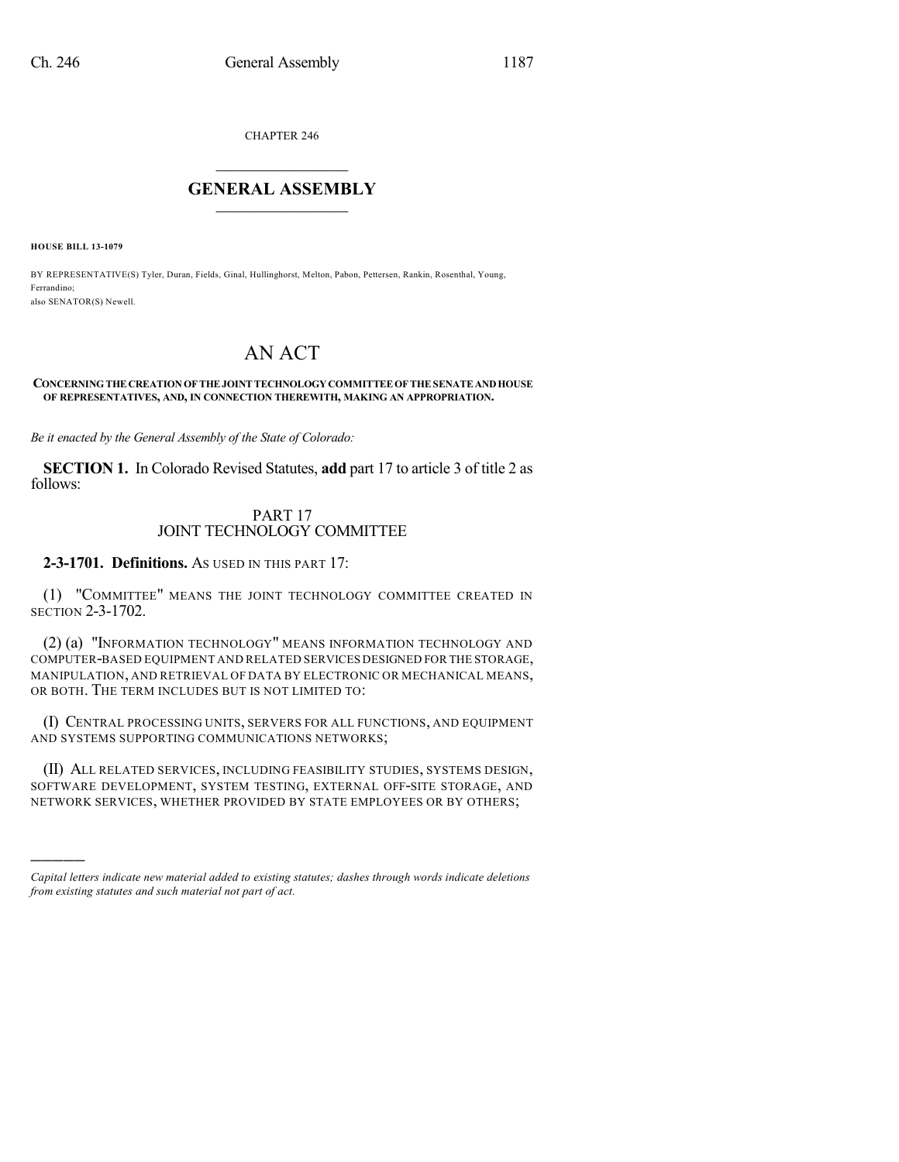CHAPTER 246

## $\overline{\phantom{a}}$  . The set of the set of the set of the set of the set of the set of the set of the set of the set of the set of the set of the set of the set of the set of the set of the set of the set of the set of the set o **GENERAL ASSEMBLY**  $\frac{1}{\sqrt{2}}$  . The set of  $\frac{1}{\sqrt{2}}$

**HOUSE BILL 13-1079**

)))))

BY REPRESENTATIVE(S) Tyler, Duran, Fields, Ginal, Hullinghorst, Melton, Pabon, Pettersen, Rankin, Rosenthal, Young, Ferrandino; also SENATOR(S) Newell.

# AN ACT

#### **CONCERNINGTHE CREATIONOF THE JOINT TECHNOLOGYCOMMITTEEOF THE SENATEANDHOUSE OF REPRESENTATIVES, AND, IN CONNECTION THEREWITH, MAKING AN APPROPRIATION.**

*Be it enacted by the General Assembly of the State of Colorado:*

**SECTION 1.** In Colorado Revised Statutes, **add** part 17 to article 3 of title 2 as follows:

### PART 17 JOINT TECHNOLOGY COMMITTEE

**2-3-1701. Definitions.** AS USED IN THIS PART 17:

(1) "COMMITTEE" MEANS THE JOINT TECHNOLOGY COMMITTEE CREATED IN SECTION 2-3-1702.

(2) (a) "INFORMATION TECHNOLOGY" MEANS INFORMATION TECHNOLOGY AND COMPUTER-BASED EQUIPMENT AND RELATED SERVICES DESIGNED FOR THE STORAGE, MANIPULATION, AND RETRIEVAL OF DATA BY ELECTRONIC OR MECHANICAL MEANS, OR BOTH. THE TERM INCLUDES BUT IS NOT LIMITED TO:

(I) CENTRAL PROCESSING UNITS, SERVERS FOR ALL FUNCTIONS, AND EQUIPMENT AND SYSTEMS SUPPORTING COMMUNICATIONS NETWORKS;

(II) ALL RELATED SERVICES, INCLUDING FEASIBILITY STUDIES, SYSTEMS DESIGN, SOFTWARE DEVELOPMENT, SYSTEM TESTING, EXTERNAL OFF-SITE STORAGE, AND NETWORK SERVICES, WHETHER PROVIDED BY STATE EMPLOYEES OR BY OTHERS;

*Capital letters indicate new material added to existing statutes; dashes through words indicate deletions from existing statutes and such material not part of act.*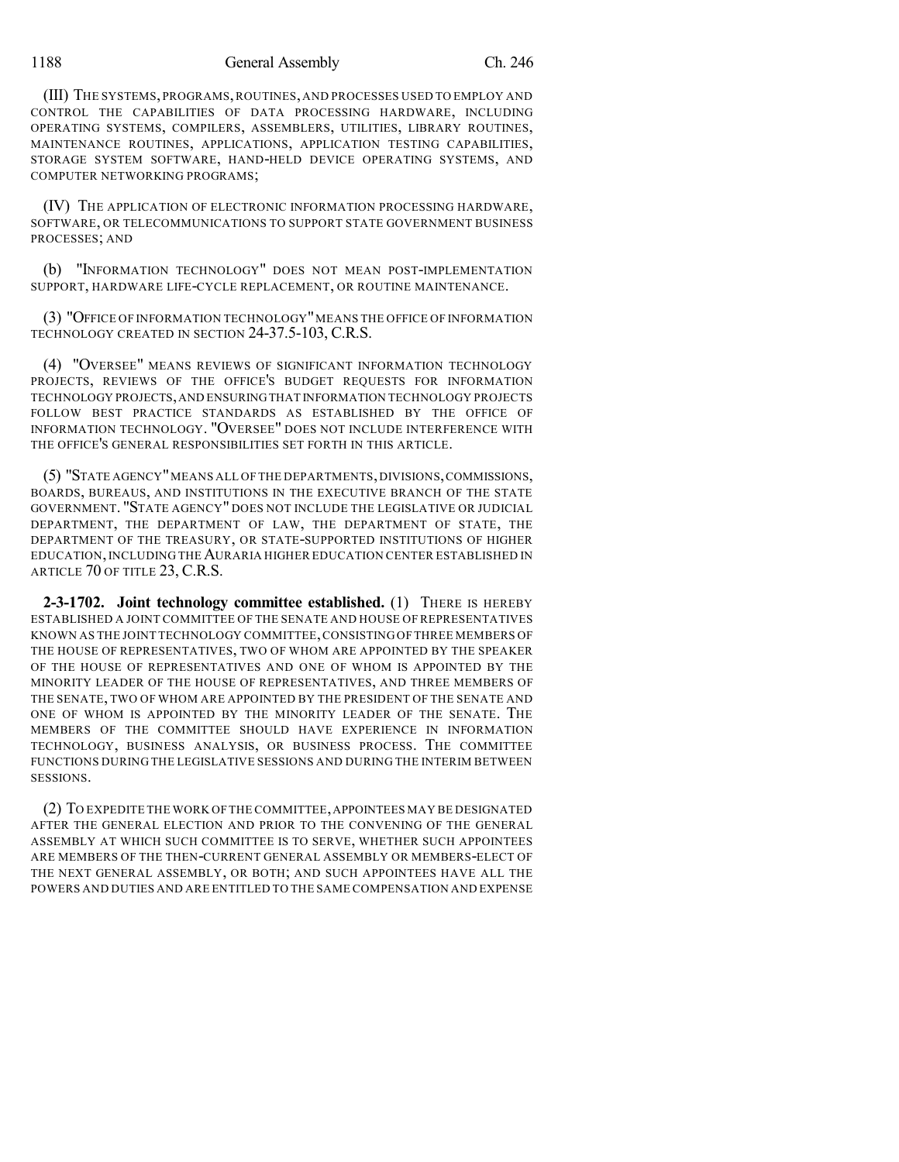1188 General Assembly Ch. 246

(III) THE SYSTEMS, PROGRAMS,ROUTINES, AND PROCESSES USED TO EMPLOY AND CONTROL THE CAPABILITIES OF DATA PROCESSING HARDWARE, INCLUDING OPERATING SYSTEMS, COMPILERS, ASSEMBLERS, UTILITIES, LIBRARY ROUTINES, MAINTENANCE ROUTINES, APPLICATIONS, APPLICATION TESTING CAPABILITIES, STORAGE SYSTEM SOFTWARE, HAND-HELD DEVICE OPERATING SYSTEMS, AND COMPUTER NETWORKING PROGRAMS;

(IV) THE APPLICATION OF ELECTRONIC INFORMATION PROCESSING HARDWARE, SOFTWARE, OR TELECOMMUNICATIONS TO SUPPORT STATE GOVERNMENT BUSINESS PROCESSES; AND

(b) "INFORMATION TECHNOLOGY" DOES NOT MEAN POST-IMPLEMENTATION SUPPORT, HARDWARE LIFE-CYCLE REPLACEMENT, OR ROUTINE MAINTENANCE.

(3) "OFFICE OF INFORMATION TECHNOLOGY"MEANS THE OFFICE OF INFORMATION TECHNOLOGY CREATED IN SECTION 24-37.5-103, C.R.S.

(4) "OVERSEE" MEANS REVIEWS OF SIGNIFICANT INFORMATION TECHNOLOGY PROJECTS, REVIEWS OF THE OFFICE'S BUDGET REQUESTS FOR INFORMATION TECHNOLOGY PROJECTS,AND ENSURINGTHAT INFORMATION TECHNOLOGY PROJECTS FOLLOW BEST PRACTICE STANDARDS AS ESTABLISHED BY THE OFFICE OF INFORMATION TECHNOLOGY. "OVERSEE" DOES NOT INCLUDE INTERFERENCE WITH THE OFFICE'S GENERAL RESPONSIBILITIES SET FORTH IN THIS ARTICLE.

(5) "STATE AGENCY"MEANS ALL OF THE DEPARTMENTS,DIVISIONS,COMMISSIONS, BOARDS, BUREAUS, AND INSTITUTIONS IN THE EXECUTIVE BRANCH OF THE STATE GOVERNMENT. "STATE AGENCY" DOES NOT INCLUDE THE LEGISLATIVE OR JUDICIAL DEPARTMENT, THE DEPARTMENT OF LAW, THE DEPARTMENT OF STATE, THE DEPARTMENT OF THE TREASURY, OR STATE-SUPPORTED INSTITUTIONS OF HIGHER EDUCATION,INCLUDING THE AURARIA HIGHER EDUCATION CENTER ESTABLISHED IN ARTICLE 70 OF TITLE 23, C.R.S.

**2-3-1702. Joint technology committee established.** (1) THERE IS HEREBY ESTABLISHED A JOINT COMMITTEE OF THE SENATE AND HOUSE OF REPRESENTATIVES KNOWN AS THE JOINT TECHNOLOGY COMMITTEE,CONSISTING OF THREE MEMBERS OF THE HOUSE OF REPRESENTATIVES, TWO OF WHOM ARE APPOINTED BY THE SPEAKER OF THE HOUSE OF REPRESENTATIVES AND ONE OF WHOM IS APPOINTED BY THE MINORITY LEADER OF THE HOUSE OF REPRESENTATIVES, AND THREE MEMBERS OF THE SENATE, TWO OF WHOM ARE APPOINTED BY THE PRESIDENT OF THE SENATE AND ONE OF WHOM IS APPOINTED BY THE MINORITY LEADER OF THE SENATE. THE MEMBERS OF THE COMMITTEE SHOULD HAVE EXPERIENCE IN INFORMATION TECHNOLOGY, BUSINESS ANALYSIS, OR BUSINESS PROCESS. THE COMMITTEE FUNCTIONS DURING THE LEGISLATIVE SESSIONS AND DURING THE INTERIM BETWEEN SESSIONS.

(2) TO EXPEDITE THE WORK OF THE COMMITTEE,APPOINTEES MAY BE DESIGNATED AFTER THE GENERAL ELECTION AND PRIOR TO THE CONVENING OF THE GENERAL ASSEMBLY AT WHICH SUCH COMMITTEE IS TO SERVE, WHETHER SUCH APPOINTEES ARE MEMBERS OF THE THEN-CURRENT GENERAL ASSEMBLY OR MEMBERS-ELECT OF THE NEXT GENERAL ASSEMBLY, OR BOTH; AND SUCH APPOINTEES HAVE ALL THE POWERS AND DUTIES AND ARE ENTITLED TO THE SAME COMPENSATION AND EXPENSE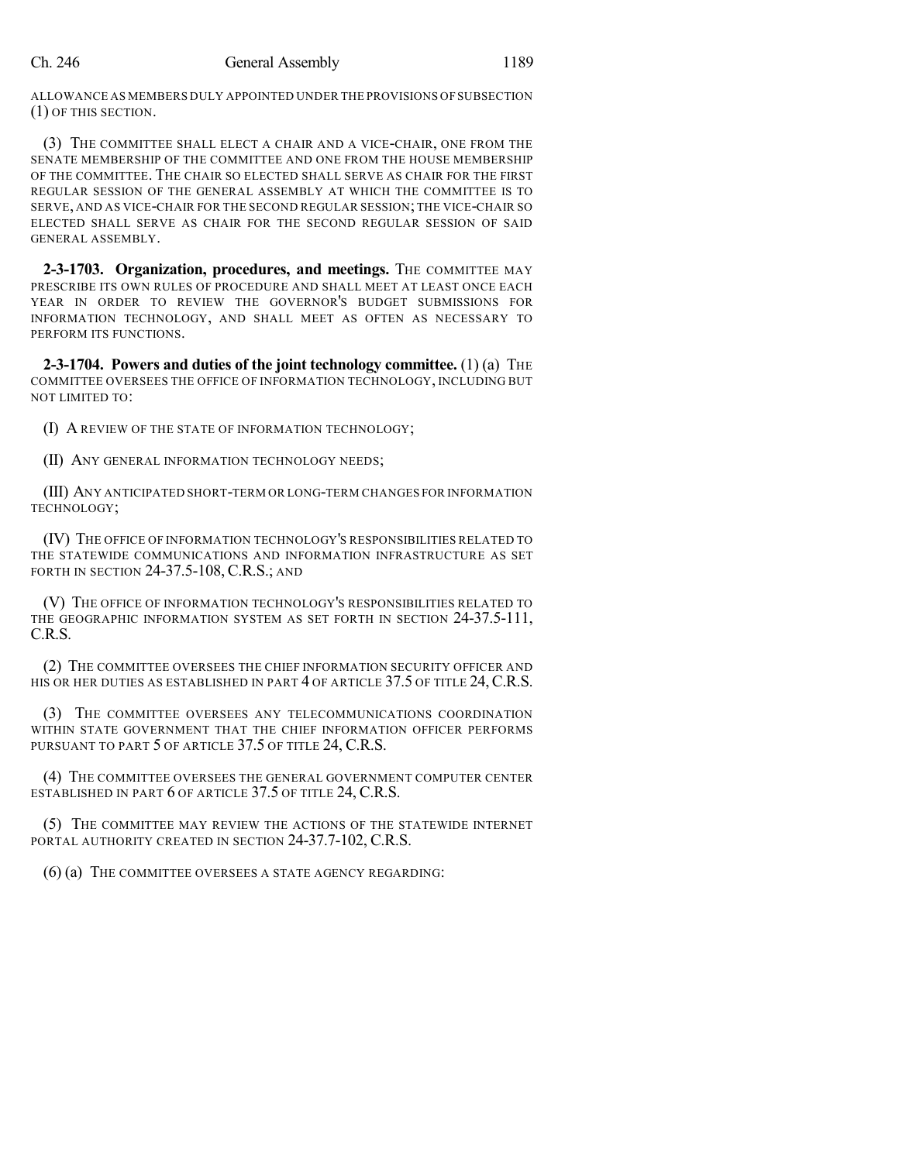ALLOWANCE AS MEMBERS DULY APPOINTED UNDER THE PROVISIONS OF SUBSECTION (1) OF THIS SECTION.

(3) THE COMMITTEE SHALL ELECT A CHAIR AND A VICE-CHAIR, ONE FROM THE SENATE MEMBERSHIP OF THE COMMITTEE AND ONE FROM THE HOUSE MEMBERSHIP OF THE COMMITTEE. THE CHAIR SO ELECTED SHALL SERVE AS CHAIR FOR THE FIRST REGULAR SESSION OF THE GENERAL ASSEMBLY AT WHICH THE COMMITTEE IS TO SERVE, AND AS VICE-CHAIR FOR THE SECOND REGULAR SESSION; THE VICE-CHAIR SO ELECTED SHALL SERVE AS CHAIR FOR THE SECOND REGULAR SESSION OF SAID GENERAL ASSEMBLY.

**2-3-1703. Organization, procedures, and meetings.** THE COMMITTEE MAY PRESCRIBE ITS OWN RULES OF PROCEDURE AND SHALL MEET AT LEAST ONCE EACH YEAR IN ORDER TO REVIEW THE GOVERNOR'S BUDGET SUBMISSIONS FOR INFORMATION TECHNOLOGY, AND SHALL MEET AS OFTEN AS NECESSARY TO PERFORM ITS FUNCTIONS.

**2-3-1704. Powers and duties of the joint technology committee.** (1) (a) THE COMMITTEE OVERSEES THE OFFICE OF INFORMATION TECHNOLOGY, INCLUDING BUT NOT LIMITED TO:

(I) A REVIEW OF THE STATE OF INFORMATION TECHNOLOGY;

(II) ANY GENERAL INFORMATION TECHNOLOGY NEEDS;

(III) ANY ANTICIPATED SHORT-TERM OR LONG-TERM CHANGES FOR INFORMATION TECHNOLOGY;

(IV) THE OFFICE OF INFORMATION TECHNOLOGY'S RESPONSIBILITIES RELATED TO THE STATEWIDE COMMUNICATIONS AND INFORMATION INFRASTRUCTURE AS SET FORTH IN SECTION 24-37.5-108, C.R.S.; AND

(V) THE OFFICE OF INFORMATION TECHNOLOGY'S RESPONSIBILITIES RELATED TO THE GEOGRAPHIC INFORMATION SYSTEM AS SET FORTH IN SECTION 24-37.5-111, C.R.S.

(2) THE COMMITTEE OVERSEES THE CHIEF INFORMATION SECURITY OFFICER AND HIS OR HER DUTIES AS ESTABLISHED IN PART 4 OF ARTICLE 37.5 OF TITLE 24, C.R.S.

(3) THE COMMITTEE OVERSEES ANY TELECOMMUNICATIONS COORDINATION WITHIN STATE GOVERNMENT THAT THE CHIEF INFORMATION OFFICER PERFORMS PURSUANT TO PART 5 OF ARTICLE 37.5 OF TITLE 24, C.R.S.

(4) THE COMMITTEE OVERSEES THE GENERAL GOVERNMENT COMPUTER CENTER ESTABLISHED IN PART 6 OF ARTICLE 37.5 OF TITLE 24, C.R.S.

(5) THE COMMITTEE MAY REVIEW THE ACTIONS OF THE STATEWIDE INTERNET PORTAL AUTHORITY CREATED IN SECTION 24-37.7-102, C.R.S.

(6) (a) THE COMMITTEE OVERSEES A STATE AGENCY REGARDING: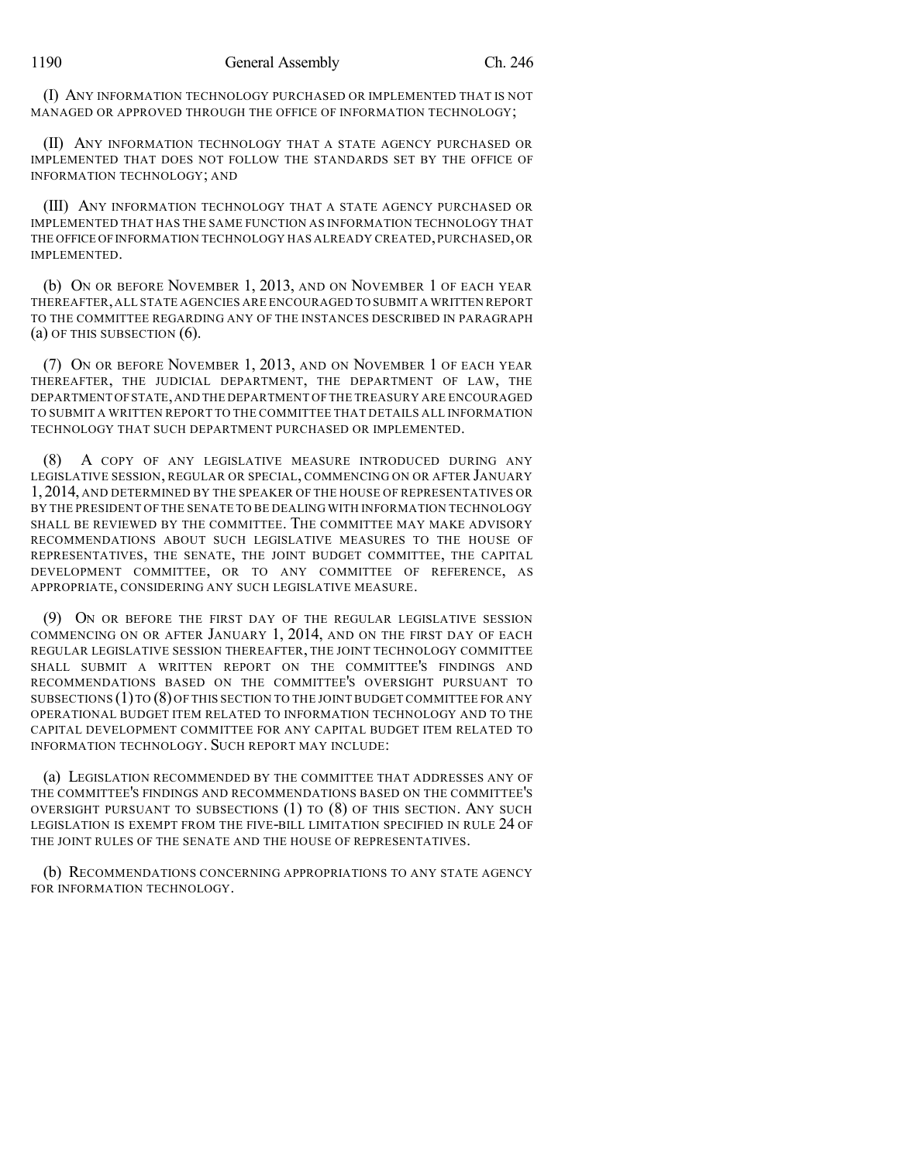(I) ANY INFORMATION TECHNOLOGY PURCHASED OR IMPLEMENTED THAT IS NOT MANAGED OR APPROVED THROUGH THE OFFICE OF INFORMATION TECHNOLOGY;

(II) ANY INFORMATION TECHNOLOGY THAT A STATE AGENCY PURCHASED OR IMPLEMENTED THAT DOES NOT FOLLOW THE STANDARDS SET BY THE OFFICE OF INFORMATION TECHNOLOGY; AND

(III) ANY INFORMATION TECHNOLOGY THAT A STATE AGENCY PURCHASED OR IMPLEMENTED THAT HAS THE SAME FUNCTION AS INFORMATION TECHNOLOGY THAT THE OFFICE OF INFORMATION TECHNOLOGY HAS ALREADY CREATED, PURCHASED, OR IMPLEMENTED.

(b) ON OR BEFORE NOVEMBER 1, 2013, AND ON NOVEMBER 1 OF EACH YEAR THEREAFTER,ALL STATE AGENCIES ARE ENCOURAGED TO SUBMIT A WRITTEN REPORT TO THE COMMITTEE REGARDING ANY OF THE INSTANCES DESCRIBED IN PARAGRAPH (a) OF THIS SUBSECTION (6).

(7) ON OR BEFORE NOVEMBER 1, 2013, AND ON NOVEMBER 1 OF EACH YEAR THEREAFTER, THE JUDICIAL DEPARTMENT, THE DEPARTMENT OF LAW, THE DEPARTMENT OFSTATE,AND THE DEPARTMENT OF THE TREASURY ARE ENCOURAGED TO SUBMIT A WRITTEN REPORT TO THE COMMITTEE THAT DETAILS ALL INFORMATION TECHNOLOGY THAT SUCH DEPARTMENT PURCHASED OR IMPLEMENTED.

(8) A COPY OF ANY LEGISLATIVE MEASURE INTRODUCED DURING ANY LEGISLATIVE SESSION, REGULAR OR SPECIAL, COMMENCING ON OR AFTER JANUARY 1, 2014, AND DETERMINED BY THE SPEAKER OF THE HOUSE OF REPRESENTATIVES OR BY THE PRESIDENT OF THE SENATE TO BE DEALING WITH INFORMATION TECHNOLOGY SHALL BE REVIEWED BY THE COMMITTEE. THE COMMITTEE MAY MAKE ADVISORY RECOMMENDATIONS ABOUT SUCH LEGISLATIVE MEASURES TO THE HOUSE OF REPRESENTATIVES, THE SENATE, THE JOINT BUDGET COMMITTEE, THE CAPITAL DEVELOPMENT COMMITTEE, OR TO ANY COMMITTEE OF REFERENCE, AS APPROPRIATE, CONSIDERING ANY SUCH LEGISLATIVE MEASURE.

(9) ON OR BEFORE THE FIRST DAY OF THE REGULAR LEGISLATIVE SESSION COMMENCING ON OR AFTER JANUARY 1, 2014, AND ON THE FIRST DAY OF EACH REGULAR LEGISLATIVE SESSION THEREAFTER, THE JOINT TECHNOLOGY COMMITTEE SHALL SUBMIT A WRITTEN REPORT ON THE COMMITTEE'S FINDINGS AND RECOMMENDATIONS BASED ON THE COMMITTEE'S OVERSIGHT PURSUANT TO SUBSECTIONS (1)TO (8) OF THIS SECTION TO THE JOINT BUDGET COMMITTEE FOR ANY OPERATIONAL BUDGET ITEM RELATED TO INFORMATION TECHNOLOGY AND TO THE CAPITAL DEVELOPMENT COMMITTEE FOR ANY CAPITAL BUDGET ITEM RELATED TO INFORMATION TECHNOLOGY. SUCH REPORT MAY INCLUDE:

(a) LEGISLATION RECOMMENDED BY THE COMMITTEE THAT ADDRESSES ANY OF THE COMMITTEE'S FINDINGS AND RECOMMENDATIONS BASED ON THE COMMITTEE'S OVERSIGHT PURSUANT TO SUBSECTIONS (1) TO (8) OF THIS SECTION. ANY SUCH LEGISLATION IS EXEMPT FROM THE FIVE-BILL LIMITATION SPECIFIED IN RULE 24 OF THE JOINT RULES OF THE SENATE AND THE HOUSE OF REPRESENTATIVES.

(b) RECOMMENDATIONS CONCERNING APPROPRIATIONS TO ANY STATE AGENCY FOR INFORMATION TECHNOLOGY.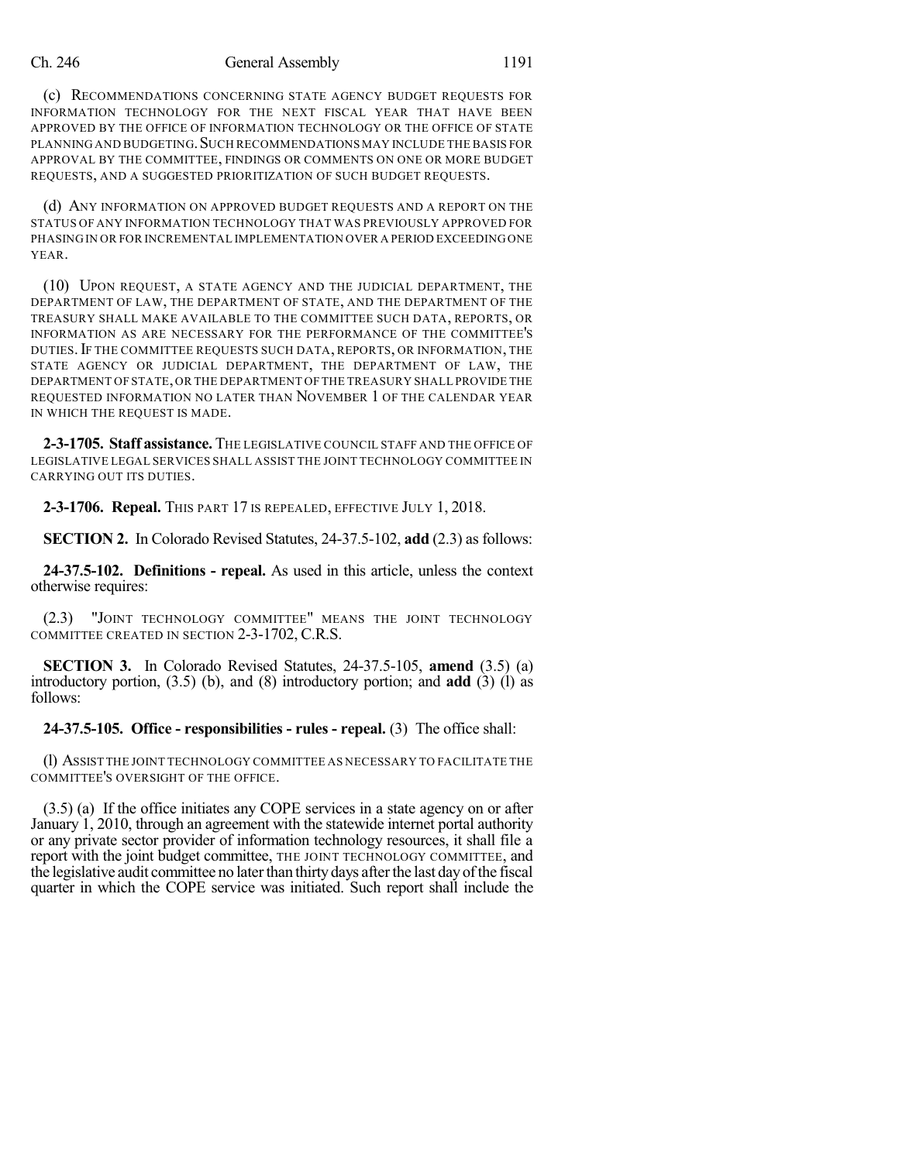#### Ch. 246 General Assembly 1191

(c) RECOMMENDATIONS CONCERNING STATE AGENCY BUDGET REQUESTS FOR INFORMATION TECHNOLOGY FOR THE NEXT FISCAL YEAR THAT HAVE BEEN APPROVED BY THE OFFICE OF INFORMATION TECHNOLOGY OR THE OFFICE OF STATE PLANNING AND BUDGETING. SUCH RECOMMENDATIONS MAY INCLUDE THE BASIS FOR APPROVAL BY THE COMMITTEE, FINDINGS OR COMMENTS ON ONE OR MORE BUDGET REQUESTS, AND A SUGGESTED PRIORITIZATION OF SUCH BUDGET REQUESTS.

(d) ANY INFORMATION ON APPROVED BUDGET REQUESTS AND A REPORT ON THE STATUS OF ANY INFORMATION TECHNOLOGY THAT WAS PREVIOUSLY APPROVED FOR PHASING IN OR FOR INCREMENTAL IMPLEMENTATION OVER A PERIOD EXCEEDING ONE YEAR.

(10) UPON REQUEST, A STATE AGENCY AND THE JUDICIAL DEPARTMENT, THE DEPARTMENT OF LAW, THE DEPARTMENT OF STATE, AND THE DEPARTMENT OF THE TREASURY SHALL MAKE AVAILABLE TO THE COMMITTEE SUCH DATA, REPORTS, OR INFORMATION AS ARE NECESSARY FOR THE PERFORMANCE OF THE COMMITTEE'S DUTIES.IF THE COMMITTEE REQUESTS SUCH DATA, REPORTS, OR INFORMATION, THE STATE AGENCY OR JUDICIAL DEPARTMENT, THE DEPARTMENT OF LAW, THE DEPARTMENT OF STATE,OR THE DEPARTMENT OF THE TREASURY SHALL PROVIDE THE REQUESTED INFORMATION NO LATER THAN NOVEMBER 1 OF THE CALENDAR YEAR IN WHICH THE REQUEST IS MADE.

**2-3-1705. Staff assistance.** THE LEGISLATIVE COUNCIL STAFF AND THE OFFICE OF LEGISLATIVE LEGAL SERVICES SHALL ASSIST THE JOINT TECHNOLOGY COMMITTEE IN CARRYING OUT ITS DUTIES.

**2-3-1706. Repeal.** THIS PART 17 IS REPEALED, EFFECTIVE JULY 1, 2018.

**SECTION 2.** In Colorado Revised Statutes, 24-37.5-102, **add** (2.3) as follows:

**24-37.5-102. Definitions - repeal.** As used in this article, unless the context otherwise requires:

(2.3) "JOINT TECHNOLOGY COMMITTEE" MEANS THE JOINT TECHNOLOGY COMMITTEE CREATED IN SECTION 2-3-1702, C.R.S.

**SECTION 3.** In Colorado Revised Statutes, 24-37.5-105, **amend** (3.5) (a) introductory portion, (3.5) (b), and (8) introductory portion; and **add** (3) (l) as follows:

**24-37.5-105. Office - responsibilities - rules - repeal.** (3) The office shall:

(l) ASSIST THE JOINT TECHNOLOGY COMMITTEE AS NECESSARY TO FACILITATE THE COMMITTEE'S OVERSIGHT OF THE OFFICE.

(3.5) (a) If the office initiates any COPE services in a state agency on or after January 1, 2010, through an agreement with the statewide internet portal authority or any private sector provider of information technology resources, it shall file a report with the joint budget committee, THE JOINT TECHNOLOGY COMMITTEE, and the legislative audit committee no later than thirty days after the last day of the fiscal quarter in which the COPE service was initiated. Such report shall include the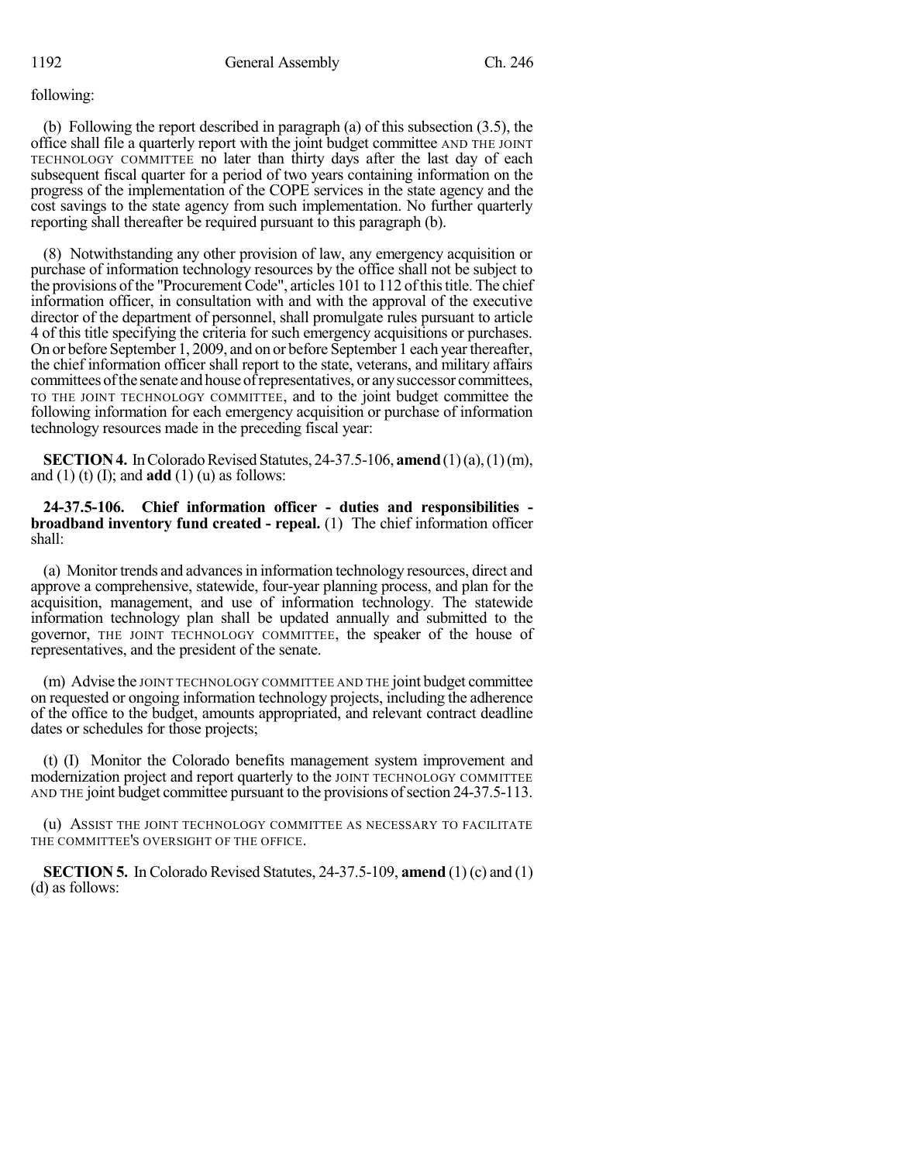### following:

(b) Following the report described in paragraph (a) of this subsection (3.5), the office shall file a quarterly report with the joint budget committee AND THE JOINT TECHNOLOGY COMMITTEE no later than thirty days after the last day of each subsequent fiscal quarter for a period of two years containing information on the progress of the implementation of the COPE services in the state agency and the cost savings to the state agency from such implementation. No further quarterly reporting shall thereafter be required pursuant to this paragraph (b).

(8) Notwithstanding any other provision of law, any emergency acquisition or purchase of information technology resources by the office shall not be subject to the provisions of the "Procurement Code", articles 101 to 112 ofthistitle. The chief information officer, in consultation with and with the approval of the executive director of the department of personnel, shall promulgate rules pursuant to article 4 of this title specifying the criteria for such emergency acquisitions or purchases. On or before September 1, 2009, and on or before September 1 each yearthereafter, the chief information officer shall report to the state, veterans, and military affairs committees of the senate and house of representatives, or any successor committees, TO THE JOINT TECHNOLOGY COMMITTEE, and to the joint budget committee the following information for each emergency acquisition or purchase of information technology resources made in the preceding fiscal year:

**SECTION 4.** In Colorado Revised Statutes, 24-37.5-106, **amend** (1)(a), (1)(m), and  $(1)$  (t)  $(1)$ ; and **add**  $(1)$   $(u)$  as follows:

**24-37.5-106. Chief information officer - duties and responsibilities broadband inventory fund created - repeal.** (1) The chief information officer shall:

(a) Monitor trends and advances in information technology resources, direct and approve a comprehensive, statewide, four-year planning process, and plan for the acquisition, management, and use of information technology. The statewide information technology plan shall be updated annually and submitted to the governor, THE JOINT TECHNOLOGY COMMITTEE, the speaker of the house of representatives, and the president of the senate.

(m) Advise the JOINT TECHNOLOGY COMMITTEE AND THE joint budget committee on requested or ongoing information technology projects, including the adherence of the office to the budget, amounts appropriated, and relevant contract deadline dates or schedules for those projects;

(t) (I) Monitor the Colorado benefits management system improvement and modernization project and report quarterly to the JOINT TECHNOLOGY COMMITTEE AND THE joint budget committee pursuant to the provisions of section 24-37.5-113.

(u) ASSIST THE JOINT TECHNOLOGY COMMITTEE AS NECESSARY TO FACILITATE THE COMMITTEE'S OVERSIGHT OF THE OFFICE.

**SECTION 5.** In Colorado Revised Statutes, 24-37.5-109, **amend** (1) (c) and (1) (d) as follows: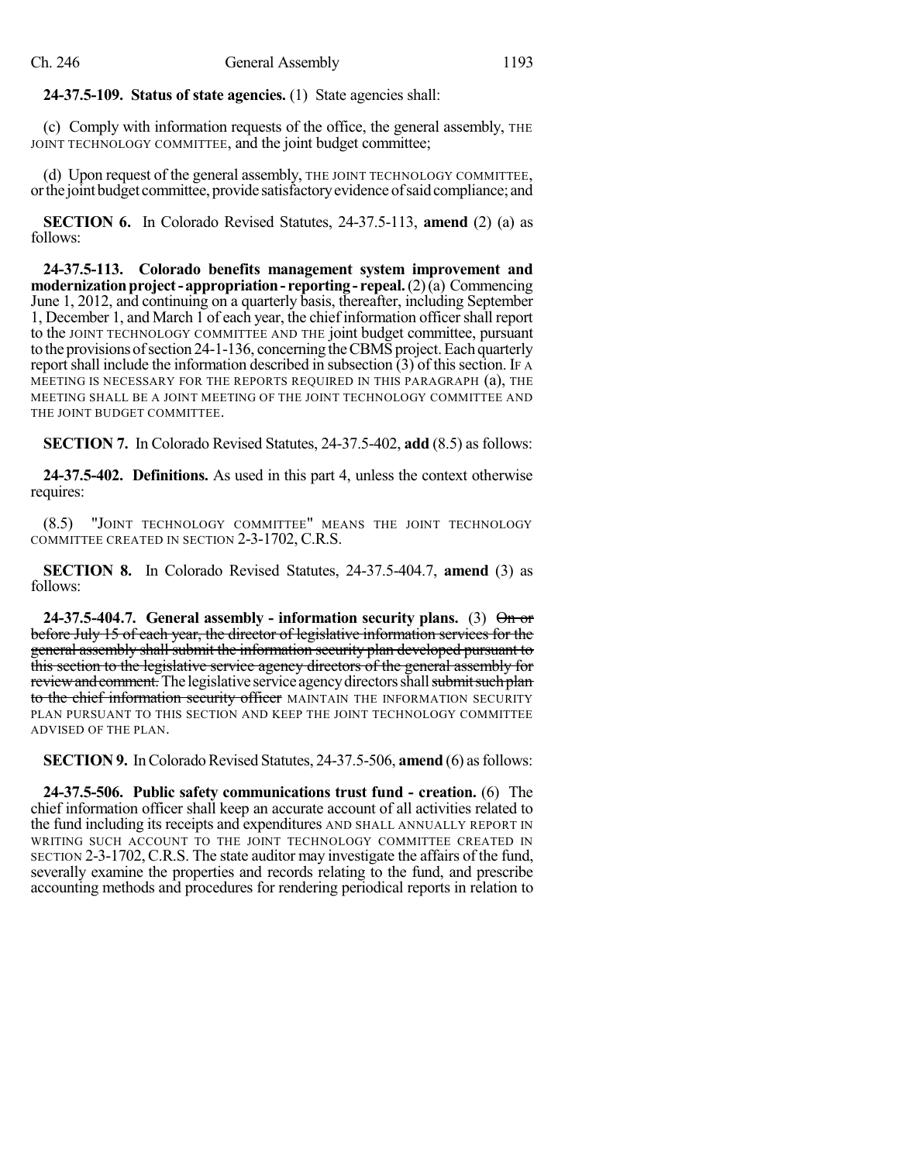## **24-37.5-109. Status of state agencies.** (1) State agencies shall:

(c) Comply with information requests of the office, the general assembly, THE JOINT TECHNOLOGY COMMITTEE, and the joint budget committee;

(d) Upon request of the general assembly, THE JOINT TECHNOLOGY COMMITTEE, or the joint budget committee, provide satisfactory evidence of said compliance; and

**SECTION 6.** In Colorado Revised Statutes, 24-37.5-113, **amend** (2) (a) as follows:

**24-37.5-113. Colorado benefits management system improvement and modernization project - appropriation - reporting - repeal.** (2)(a) Commencing June 1, 2012, and continuing on a quarterly basis, thereafter, including September 1, December 1, and March 1 of each year, the chief information officershall report to the JOINT TECHNOLOGY COMMITTEE AND THE joint budget committee, pursuant to the provisions of section  $24$ -1-136, concerning the CBMS project. Each quarterly report shall include the information described in subsection  $(3)$  of this section. If A MEETING IS NECESSARY FOR THE REPORTS REQUIRED IN THIS PARAGRAPH (a), THE MEETING SHALL BE A JOINT MEETING OF THE JOINT TECHNOLOGY COMMITTEE AND THE JOINT BUDGET COMMITTEE.

**SECTION 7.** In Colorado Revised Statutes, 24-37.5-402, **add** (8.5) as follows:

**24-37.5-402. Definitions.** As used in this part 4, unless the context otherwise requires:

(8.5) "JOINT TECHNOLOGY COMMITTEE" MEANS THE JOINT TECHNOLOGY COMMITTEE CREATED IN SECTION 2-3-1702, C.R.S.

**SECTION 8.** In Colorado Revised Statutes, 24-37.5-404.7, **amend** (3) as follows:

**24-37.5-404.7. General assembly - information security plans.** (3) On or before July 15 of each year, the director of legislative information services for the general assembly shall submit the information security plan developed pursuant to this section to the legislative service agency directors of the general assembly for review and comment. The legislative service agency directors shall submit such plan to the chief information security officer MAINTAIN THE INFORMATION SECURITY PLAN PURSUANT TO THIS SECTION AND KEEP THE JOINT TECHNOLOGY COMMITTEE ADVISED OF THE PLAN.

**SECTION 9.** In Colorado Revised Statutes, 24-37.5-506, **amend** (6) as follows:

**24-37.5-506. Public safety communications trust fund - creation.** (6) The chief information officer shall keep an accurate account of all activities related to the fund including its receipts and expenditures AND SHALL ANNUALLY REPORT IN WRITING SUCH ACCOUNT TO THE JOINT TECHNOLOGY COMMITTEE CREATED IN SECTION 2-3-1702,C.R.S. The state auditor may investigate the affairs of the fund, severally examine the properties and records relating to the fund, and prescribe accounting methods and procedures for rendering periodical reports in relation to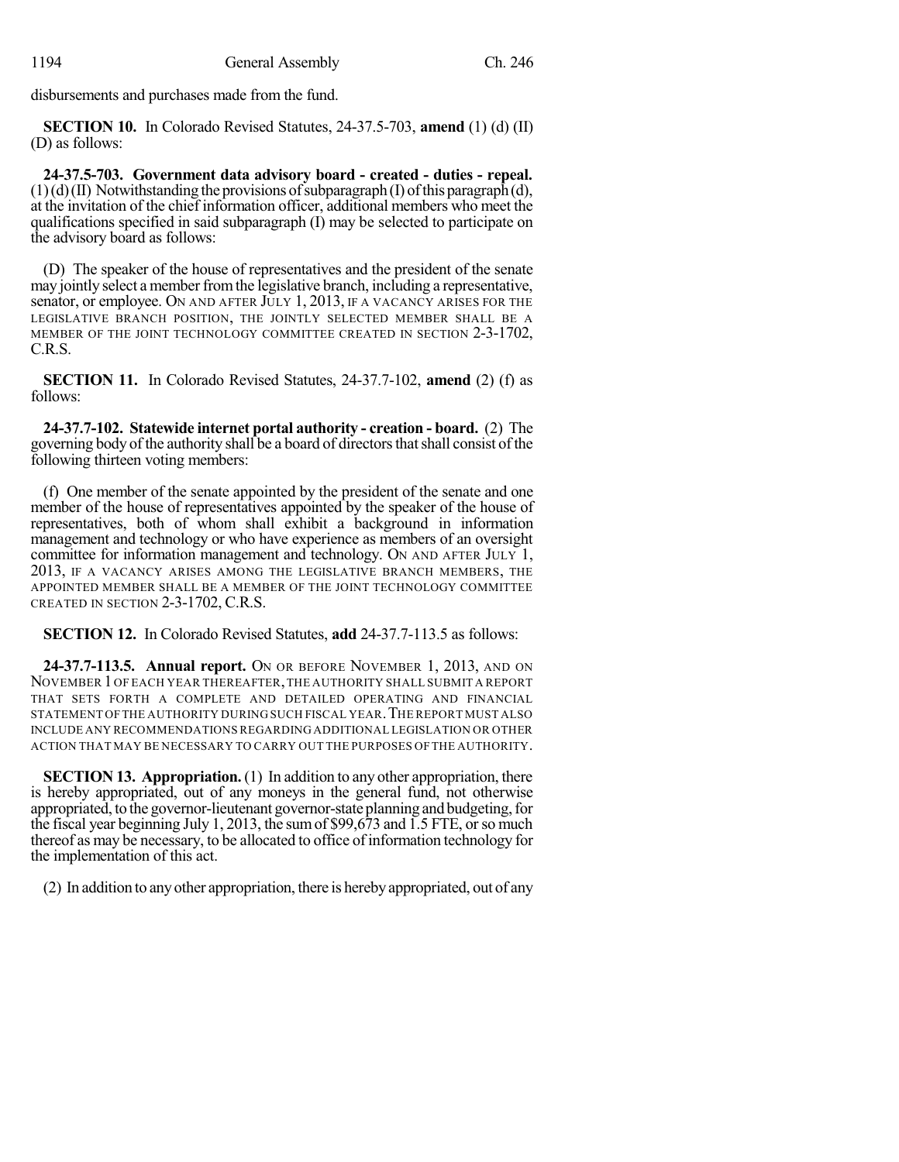disbursements and purchases made from the fund.

**SECTION 10.** In Colorado Revised Statutes, 24-37.5-703, **amend** (1) (d) (II) (D) as follows:

**24-37.5-703. Government data advisory board - created - duties - repeal.**  $(1)(d)(II)$  Notwithstanding the provisions of subparagraph (I) of this paragraph(d), at the invitation of the chief information officer, additional members who meet the qualifications specified in said subparagraph (I) may be selected to participate on the advisory board as follows:

(D) The speaker of the house of representatives and the president of the senate may jointly select amember fromthe legislative branch, including a representative, senator, or employee. ON AND AFTER JULY 1, 2013, IF A VACANCY ARISES FOR THE LEGISLATIVE BRANCH POSITION, THE JOINTLY SELECTED MEMBER SHALL BE A MEMBER OF THE JOINT TECHNOLOGY COMMITTEE CREATED IN SECTION 2-3-1702, C.R.S.

**SECTION 11.** In Colorado Revised Statutes, 24-37.7-102, **amend** (2) (f) as follows:

**24-37.7-102. Statewide internet portal authority - creation - board.** (2) The governing body of the authority shall be a board of directors that shall consist of the following thirteen voting members:

(f) One member of the senate appointed by the president of the senate and one member of the house of representatives appointed by the speaker of the house of representatives, both of whom shall exhibit a background in information management and technology or who have experience as members of an oversight committee for information management and technology. ON AND AFTER JULY 1, 2013, IF A VACANCY ARISES AMONG THE LEGISLATIVE BRANCH MEMBERS, THE APPOINTED MEMBER SHALL BE A MEMBER OF THE JOINT TECHNOLOGY COMMITTEE CREATED IN SECTION 2-3-1702, C.R.S.

**SECTION 12.** In Colorado Revised Statutes, **add** 24-37.7-113.5 as follows:

**24-37.7-113.5. Annual report.** ON OR BEFORE NOVEMBER 1, 2013, AND ON NOVEMBER 1OF EACH YEAR THEREAFTER,THE AUTHORITY SHALL SUBMIT A REPORT THAT SETS FORTH A COMPLETE AND DETAILED OPERATING AND FINANCIAL STATEMENT OFTHE AUTHORITY DURING SUCH FISCAL YEAR.THE REPORT MUST ALSO INCLUDE ANY RECOMMENDATIONS REGARDING ADDITIONAL LEGISLATION OR OTHER ACTION THAT MAY BE NECESSARY TO CARRY OUT THE PURPOSES OF THE AUTHORITY.

**SECTION 13. Appropriation.** (1) In addition to any other appropriation, there is hereby appropriated, out of any moneys in the general fund, not otherwise appropriated, to the governor-lieutenant governor-state planning and budgeting, for the fiscal year beginning July 1, 2013, the sumof \$99,673 and 1.5 FTE, orso much thereof as may be necessary, to be allocated to office of information technology for the implementation of this act.

(2) In addition to anyother appropriation, there is herebyappropriated, out of any